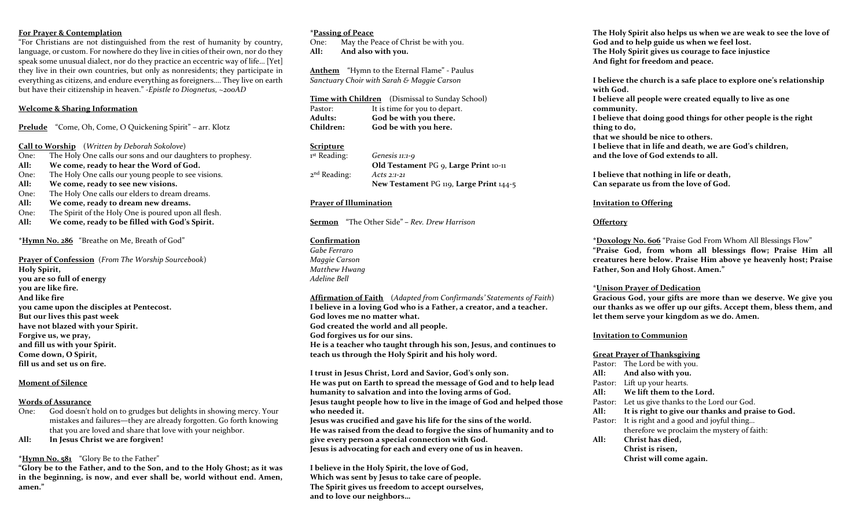### **For Prayer & Contemplation**

"For Christians are not distinguished from the rest of humanity by country, language, or custom. For nowhere do they live in cities of their own, nor do they speak some unusual dialect, nor do they practice an eccentric way of life… [Yet] they live in their own countries, but only as nonresidents; they participate in everything as citizens, and endure everything as foreigners…. They live on earth but have their citizenship in heaven." -*Epistle to Diognetus, ~200AD*

### **Welcome & Sharing Information**

**Prelude** "Come, Oh, Come, O Quickening Spirit" – arr. Klotz

**Call to Worship** (*Written by Deborah Sokolove*)

- One: The Holy One calls our sons and our daughters to prophesy.
- **All: We come, ready to hear the Word of God.**
- One: The Holy One calls our young people to see visions.
- **All: We come, ready to see new visions.**
- One: The Holy One calls our elders to dream dreams.
- **All: We come, ready to dream new dreams.**
- One: The Spirit of the Holy One is poured upon all flesh.
- **All: We come, ready to be filled with God's Spirit.**

**\*Hymn No. 286** "Breathe on Me, Breath of God"

**Prayer of Confession** (*From The Worship Sourcebook*) **Holy Spirit, you are so full of energy you are like fire. And like fire you came upon the disciples at Pentecost. But our lives this past week have not blazed with your Spirit. Forgive us, we pray, and fill us with your Spirit. Come down, O Spirit, fill us and set us on fire.** 

### **Moment of Silence**

#### **Words of Assurance**

- One: God doesn't hold on to grudges but delights in showing mercy. Your mistakes and failures—they are already forgotten. Go forth knowing that you are loved and share that love with your neighbor.
- **All: In Jesus Christ we are forgiven!**

### **\*Hymn No. 581** "Glory Be to the Father"

**"Glory be to the Father, and to the Son, and to the Holy Ghost; as it was in the beginning, is now, and ever shall be, world without end. Amen, amen."**

### **\*Passing of Peace**

One: May the Peace of Christ be with you. **All: And also with you.** 

**Anthem** "Hymn to the Eternal Flame" - Paulus *Sanctuary Choir with Sarah & Maggie Carson*

|                  | <b>Time with Children</b> (Dismissal to Sunday School) |
|------------------|--------------------------------------------------------|
| Pastor:          | It is time for you to depart.                          |
| <b>Adults:</b>   | God be with you there.                                 |
| <b>Children:</b> | God be with you here.                                  |

# **Scripture**

| <sup>1st</sup> Reading: | Genesis 11:1-9                          |
|-------------------------|-----------------------------------------|
|                         | Old Testament PG 9, Large Print 10-11   |
| $2nd$ Reading:          | Acts 2:1-21                             |
|                         | New Testament PG 119, Large Print 144-5 |

### **Prayer of Illumination**

**Sermon** "The Other Side" **–** *Rev. Drew Harrison*

# **Confirmation**

*Gabe Ferraro Maggie Carson Matthew Hwang Adeline Bell*

**Affirmation of Faith** (*Adapted from Confirmands' Statements of Faith*) **I believe in a loving God who is a Father, a creator, and a teacher. God loves me no matter what. God created the world and all people. God forgives us for our sins. He is a teacher who taught through his son, Jesus, and continues to teach us through the Holy Spirit and his holy word.**

**I trust in Jesus Christ, Lord and Savior, God's only son. He was put on Earth to spread the message of God and to help lead humanity to salvation and into the loving arms of God. Jesus taught people how to live in the image of God and helped those who needed it.** 

**Jesus was crucified and gave his life for the sins of the world. He was raised from the dead to forgive the sins of humanity and to give every person a special connection with God. Jesus is advocating for each and every one of us in heaven.**

**I believe in the Holy Spirit, the love of God, Which was sent by Jesus to take care of people. The Spirit gives us freedom to accept ourselves, and to love our neighbors…**

**The Holy Spirit also helps us when we are weak to see the love of God and to help guide us when we feel lost. The Holy Spirit gives us courage to face injustice And fight for freedom and peace.** 

**I believe the church is a safe place to explore one's relationship with God. I believe all people were created equally to live as one community. I believe that doing good things for other people is the right thing to do, that we should be nice to others. I believe that in life and death, we are God's children, and the love of God extends to all.** 

**I believe that nothing in life or death, Can separate us from the love of God.** 

### **Invitation to Offering**

### **Offertory**

**\*Doxology No. 606** "Praise God From Whom All Blessings Flow" **"Praise God, from whom all blessings flow; Praise Him all creatures here below. Praise Him above ye heavenly host; Praise Father, Son and Holy Ghost. Amen."**

### \***Unison Prayer of Dedication**

**Gracious God, your gifts are more than we deserve. We give you our thanks as we offer up our gifts. Accept them, bless them, and let them serve your kingdom as we do. Amen.** 

### **Invitation to Communion**

#### **Great Prayer of Thanksgiving**

|      | Pastor: The Lord be with you.                     |
|------|---------------------------------------------------|
|      | All: And also with you.                           |
|      | Pastor: Lift up your hearts.                      |
| All: | We lift them to the Lord.                         |
|      | Pastor: Let us give thanks to the Lord our God.   |
| All: | It is right to give our thanks and praise to God. |
|      | Pastor: It is right and a good and joyful thing   |
|      | therefore we proclaim the mystery of faith:       |
| All: | Christ has died,                                  |
|      | Christ is risen,                                  |
|      | Christ will come again.                           |